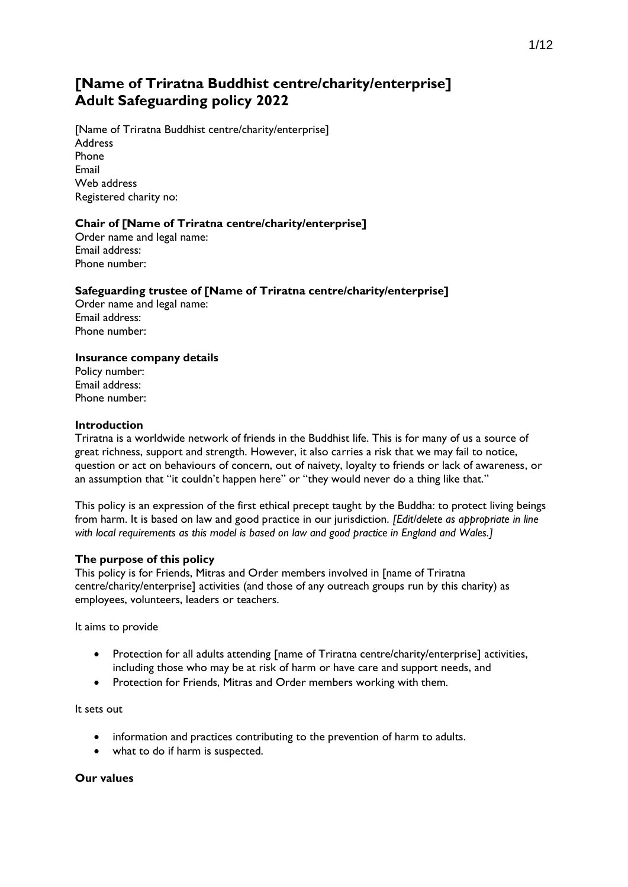# **[Name of Triratna Buddhist centre/charity/enterprise] Adult Safeguarding policy 2022**

[Name of Triratna Buddhist centre/charity/enterprise] Address Phone Email Web address Registered charity no:

# **Chair of [Name of Triratna centre/charity/enterprise]**

Order name and legal name: Email address: Phone number:

# **Safeguarding trustee of [Name of Triratna centre/charity/enterprise]**

Order name and legal name: Email address: Phone number:

# **Insurance company details**

Policy number: Email address: Phone number:

## **Introduction**

Triratna is a worldwide network of friends in the Buddhist life. This is for many of us a source of great richness, support and strength. However, it also carries a risk that we may fail to notice, question or act on behaviours of concern, out of naivety, loyalty to friends or lack of awareness, or an assumption that "it couldn't happen here" or "they would never do a thing like that."

This policy is an expression of the first ethical precept taught by the Buddha: to protect living beings from harm. It is based on law and good practice in our jurisdiction. *[Edit/delete as appropriate in line with local requirements as this model is based on law and good practice in England and Wales.]*

#### **The purpose of this policy**

This policy is for Friends, Mitras and Order members involved in [name of Triratna centre/charity/enterprise] activities (and those of any outreach groups run by this charity) as employees, volunteers, leaders or teachers.

It aims to provide

- Protection for all adults attending [name of Triratna centre/charity/enterprise] activities, including those who may be at risk of harm or have care and support needs, and
- Protection for Friends, Mitras and Order members working with them.

It sets out

- information and practices contributing to the prevention of harm to adults.
- what to do if harm is suspected.

#### **Our values**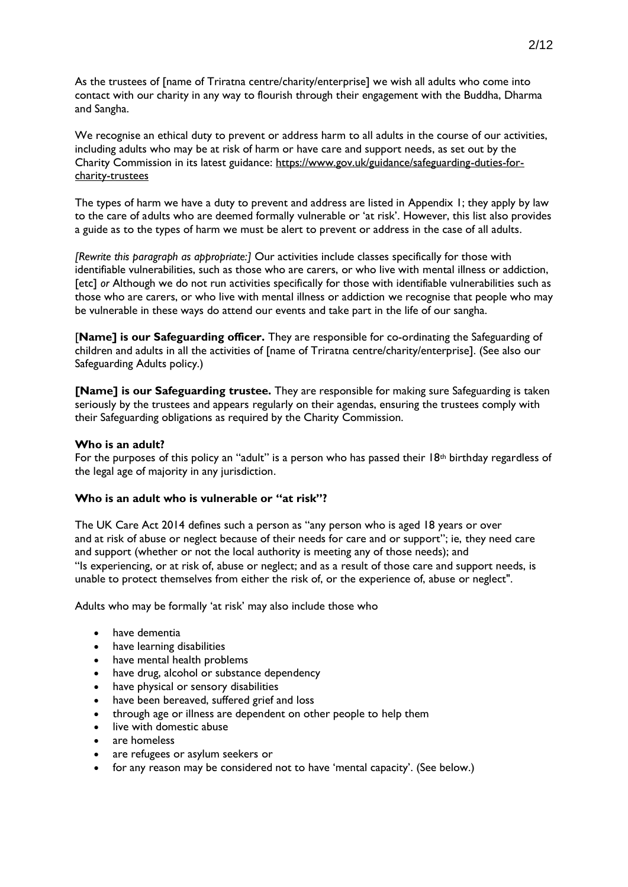As the trustees of [name of Triratna centre/charity/enterprise] we wish all adults who come into contact with our charity in any way to flourish through their engagement with the Buddha, Dharma and Sangha.

We recognise an ethical duty to prevent or address harm to all adults in the course of our activities, including adults who may be at risk of harm or have care and support needs, as set out by the Charity Commission in its latest guidance: [https://www.gov.uk/guidance/safeguarding-duties-for](https://www.gov.uk/guidance/safeguarding-duties-for-charity-trustees)[charity-trustees](https://www.gov.uk/guidance/safeguarding-duties-for-charity-trustees)

The types of harm we have a duty to prevent and address are listed in Appendix 1; they apply by law to the care of adults who are deemed formally vulnerable or 'at risk'. However, this list also provides a guide as to the types of harm we must be alert to prevent or address in the case of all adults.

*[Rewrite this paragraph as appropriate:]* Our activities include classes specifically for those with identifiable vulnerabilities, such as those who are carers, or who live with mental illness or addiction, [etc] *or* Although we do not run activities specifically for those with identifiable vulnerabilities such as those who are carers, or who live with mental illness or addiction we recognise that people who may be vulnerable in these ways do attend our events and take part in the life of our sangha.

[**Name] is our Safeguarding officer.** They are responsible for co-ordinating the Safeguarding of children and adults in all the activities of [name of Triratna centre/charity/enterprise]. (See also our Safeguarding Adults policy.)

**[Name] is our Safeguarding trustee.** They are responsible for making sure Safeguarding is taken seriously by the trustees and appears regularly on their agendas, ensuring the trustees comply with their Safeguarding obligations as required by the Charity Commission.

#### **Who is an adult?**

For the purposes of this policy an "adult" is a person who has passed their  $18th$  birthday regardless of the legal age of majority in any jurisdiction.

#### **Who is an adult who is vulnerable or "at risk"?**

The UK Care Act 2014 defines such a person as "any person who is aged 18 years or over and at risk of abuse or neglect because of their needs for care and or support"; ie, they need care and support (whether or not the local authority is meeting any of those needs); and "Is experiencing, or at risk of, abuse or neglect; and as a result of those care and support needs, is unable to protect themselves from either the risk of, or the experience of, abuse or neglect".

Adults who may be formally 'at risk' may also include those who

- have dementia
- have learning disabilities
- have mental health problems
- have drug, alcohol or substance dependency
- have physical or sensory disabilities
- have been bereaved, suffered grief and loss
- through age or illness are dependent on other people to help them
- live with domestic abuse
- are homeless
- are refugees or asylum seekers or
- for any reason may be considered not to have 'mental capacity'. (See below.)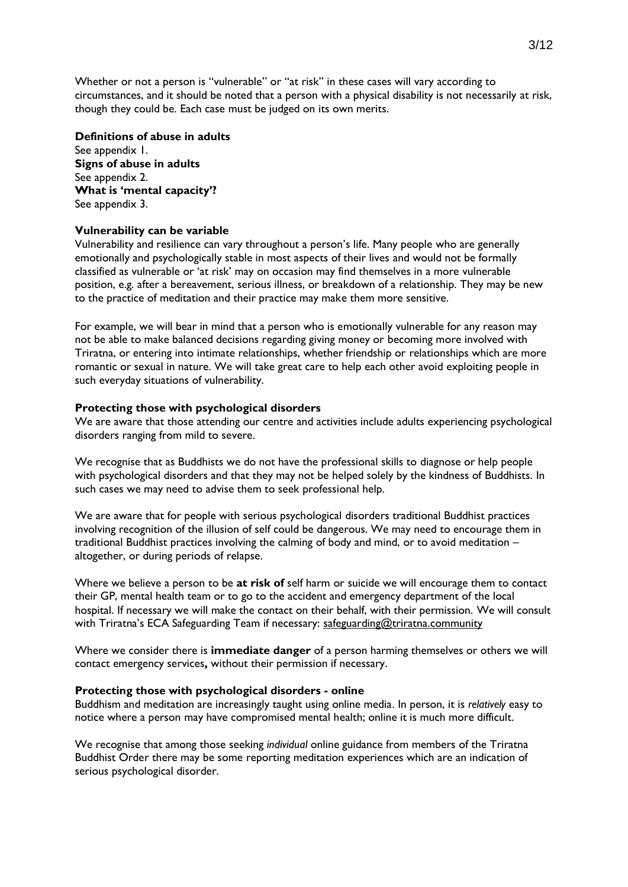Whether or not a person is "vulnerable" or "at risk" in these cases will vary according to circumstances, and it should be noted that a person with a physical disability is not necessarily at risk, though they could be. Each case must be judged on its own merits.

#### **Definitions of abuse in adults**

See appendix 1. **Signs of abuse in adults** See appendix 2. **What is 'mental capacity'?** See appendix 3.

#### **Vulnerability can be variable**

Vulnerability and resilience can vary throughout a person's life. Many people who are generally emotionally and psychologically stable in most aspects of their lives and would not be formally classified as vulnerable or 'at risk' may on occasion may find themselves in a more vulnerable position, e.g. after a bereavement, serious illness, or breakdown of a relationship. They may be new to the practice of meditation and their practice may make them more sensitive.

For example, we will bear in mind that a person who is emotionally vulnerable for any reason may not be able to make balanced decisions regarding giving money or becoming more involved with Triratna, or entering into intimate relationships, whether friendship or relationships which are more romantic or sexual in nature. We will take great care to help each other avoid exploiting people in such everyday situations of vulnerability.

## **Protecting those with psychological disorders**

We are aware that those attending our centre and activities include adults experiencing psychological disorders ranging from mild to severe.

We recognise that as Buddhists we do not have the professional skills to diagnose or help people with psychological disorders and that they may not be helped solely by the kindness of Buddhists. In such cases we may need to advise them to seek professional help.

We are aware that for people with serious psychological disorders traditional Buddhist practices involving recognition of the illusion of self could be dangerous. We may need to encourage them in traditional Buddhist practices involving the calming of body and mind, or to avoid meditation – altogether, or during periods of relapse.

Where we believe a person to be **at risk of** self harm or suicide we will encourage them to contact their GP, mental health team or to go to the accident and emergency department of the local hospital. If necessary we will make the contact on their behalf, with their permission. We will consult with Triratna's ECA Safeguarding Team if necessary: [safeguarding@triratna.community](mailto:safeguarding@triratna.community)

Where we consider there is **immediate danger** of a person harming themselves or others we will contact emergency services**,** without their permission if necessary.

#### **Protecting those with psychological disorders - online**

Buddhism and meditation are increasingly taught using online media. In person, it is *relatively* easy to notice where a person may have compromised mental health; online it is much more difficult.

We recognise that among those seeking *individual* online guidance from members of the Triratna Buddhist Order there may be some reporting meditation experiences which are an indication of serious psychological disorder.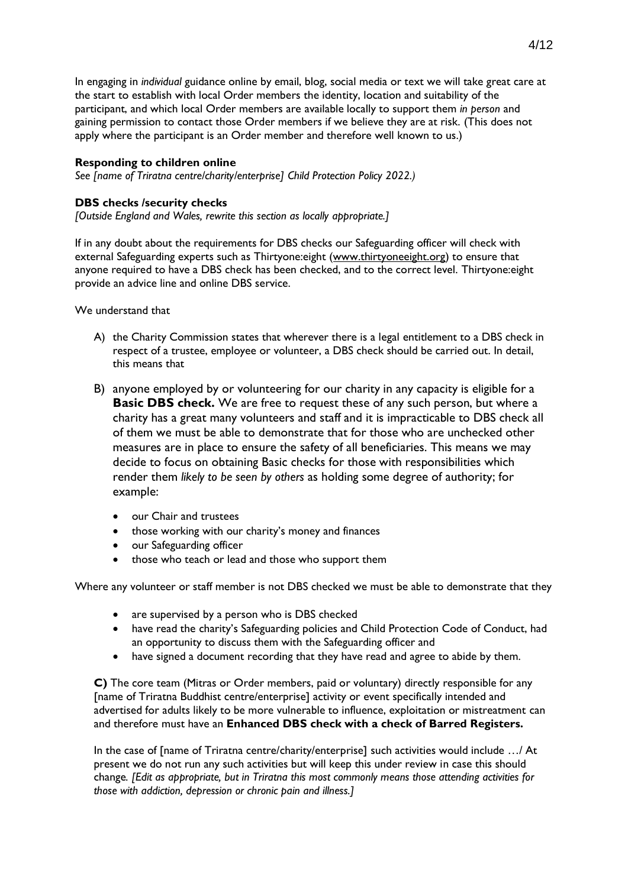In engaging in *individual* guidance online by email, blog, social media or text we will take great care at the start to establish with local Order members the identity, location and suitability of the participant, and which local Order members are available locally to support them *in person* and gaining permission to contact those Order members if we believe they are at risk. (This does not apply where the participant is an Order member and therefore well known to us.)

## **Responding to children online**

*See [name of Triratna centre/charity/enterprise] Child Protection Policy 2022.)*

## **DBS checks /security checks**

*[Outside England and Wales, rewrite this section as locally appropriate.]*

If in any doubt about the requirements for DBS checks our Safeguarding officer will check with external Safeguarding experts such as Thirtyone:eight [\(www.thirtyoneeight.org\)](http://www.thirtyoneeight.org/) to ensure that anyone required to have a DBS check has been checked, and to the correct level. Thirtyone:eight provide an advice line and online DBS service.

We understand that

- A) the Charity Commission states that wherever there is a legal entitlement to a DBS check in respect of a trustee, employee or volunteer, a DBS check should be carried out. In detail, this means that
- B) anyone employed by or volunteering for our charity in any capacity is eligible for a **Basic DBS check.** We are free to request these of any such person, but where a charity has a great many volunteers and staff and it is impracticable to DBS check all of them we must be able to demonstrate that for those who are unchecked other measures are in place to ensure the safety of all beneficiaries. This means we may decide to focus on obtaining Basic checks for those with responsibilities which render them *likely to be seen by others* as holding some degree of authority; for example:
	- our Chair and trustees
	- those working with our charity's money and finances
	- our Safeguarding officer
	- those who teach or lead and those who support them

Where any volunteer or staff member is not DBS checked we must be able to demonstrate that they

- are supervised by a person who is DBS checked
- have read the charity's Safeguarding policies and Child Protection Code of Conduct, had an opportunity to discuss them with the Safeguarding officer and
- have signed a document recording that they have read and agree to abide by them.

**C)** The core team (Mitras or Order members, paid or voluntary) directly responsible for any [name of Triratna Buddhist centre/enterprise] activity or event specifically intended and advertised for adults likely to be more vulnerable to influence, exploitation or mistreatment can and therefore must have an **Enhanced DBS check with a check of Barred Registers.**

In the case of [name of Triratna centre/charity/enterprise] such activities would include …/ At present we do not run any such activities but will keep this under review in case this should change*. [Edit as appropriate, but in Triratna this most commonly means those attending activities for those with addiction, depression or chronic pain and illness.]*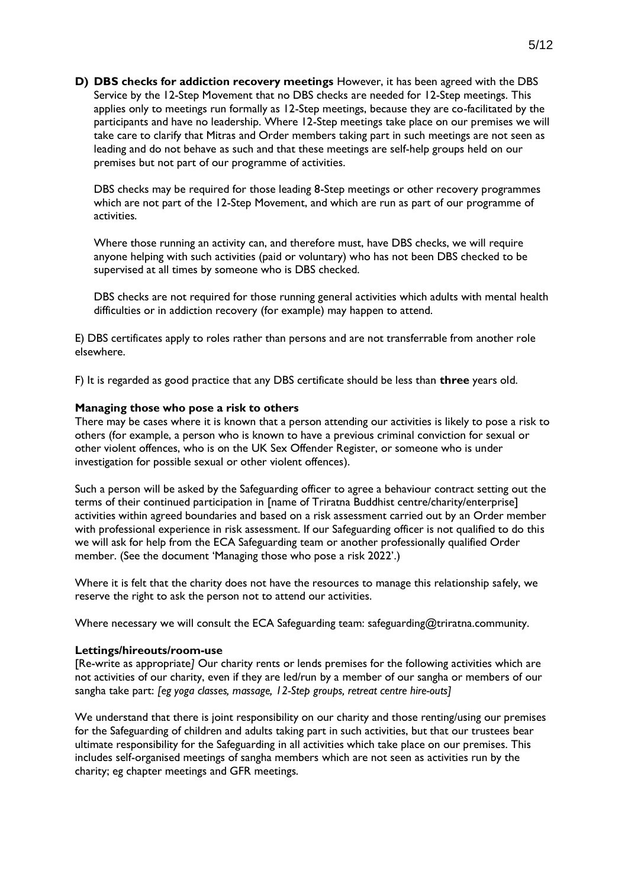**D) DBS checks for addiction recovery meetings** However, it has been agreed with the DBS Service by the 12-Step Movement that no DBS checks are needed for 12-Step meetings. This applies only to meetings run formally as 12-Step meetings, because they are co-facilitated by the participants and have no leadership. Where 12-Step meetings take place on our premises we will take care to clarify that Mitras and Order members taking part in such meetings are not seen as leading and do not behave as such and that these meetings are self-help groups held on our premises but not part of our programme of activities.

DBS checks may be required for those leading 8-Step meetings or other recovery programmes which are not part of the 12-Step Movement, and which are run as part of our programme of activities.

Where those running an activity can, and therefore must, have DBS checks, we will require anyone helping with such activities (paid or voluntary) who has not been DBS checked to be supervised at all times by someone who is DBS checked.

DBS checks are not required for those running general activities which adults with mental health difficulties or in addiction recovery (for example) may happen to attend.

E) DBS certificates apply to roles rather than persons and are not transferrable from another role elsewhere.

F) It is regarded as good practice that any DBS certificate should be less than **three** years old.

#### **Managing those who pose a risk to others**

There may be cases where it is known that a person attending our activities is likely to pose a risk to others (for example, a person who is known to have a previous criminal conviction for sexual or other violent offences, who is on the UK Sex Offender Register, or someone who is under investigation for possible sexual or other violent offences).

Such a person will be asked by the Safeguarding officer to agree a behaviour contract setting out the terms of their continued participation in [name of Triratna Buddhist centre/charity/enterprise] activities within agreed boundaries and based on a risk assessment carried out by an Order member with professional experience in risk assessment. If our Safeguarding officer is not qualified to do this we will ask for help from the ECA Safeguarding team or another professionally qualified Order member. (See the document 'Managing those who pose a risk 2022'.)

Where it is felt that the charity does not have the resources to manage this relationship safely, we reserve the right to ask the person not to attend our activities.

Where necessary we will consult the ECA Safeguarding team: safeguarding@triratna.community.

#### **Lettings/hireouts/room-use**

[Re-write as appropriate*]* Our charity rents or lends premises for the following activities which are not activities of our charity, even if they are led/run by a member of our sangha or members of our sangha take part: *[eg yoga classes, massage, 12-Step groups, retreat centre hire-outs]*

We understand that there is joint responsibility on our charity and those renting/using our premises for the Safeguarding of children and adults taking part in such activities, but that our trustees bear ultimate responsibility for the Safeguarding in all activities which take place on our premises. This includes self-organised meetings of sangha members which are not seen as activities run by the charity; eg chapter meetings and GFR meetings.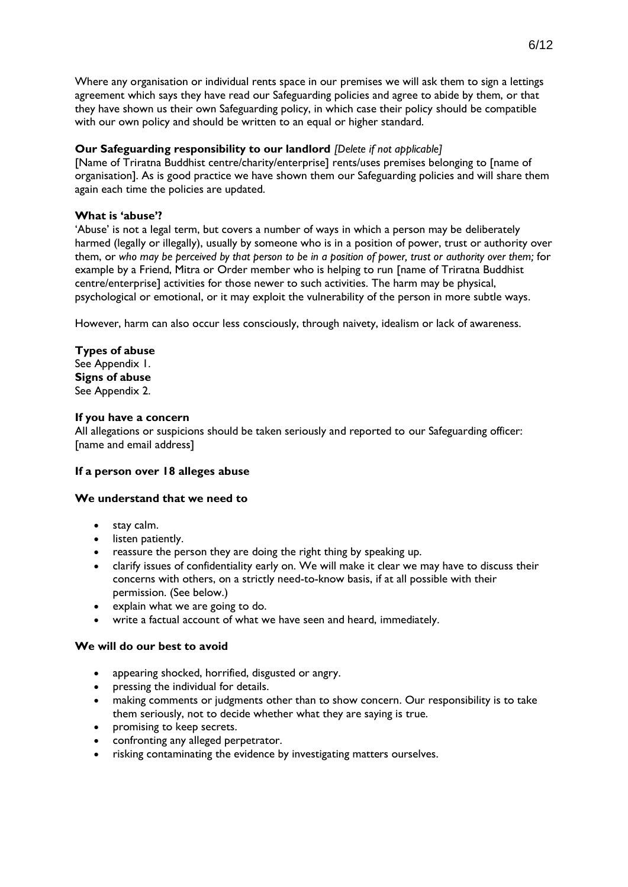Where any organisation or individual rents space in our premises we will ask them to sign a lettings agreement which says they have read our Safeguarding policies and agree to abide by them, or that they have shown us their own Safeguarding policy, in which case their policy should be compatible with our own policy and should be written to an equal or higher standard.

# **Our Safeguarding responsibility to our landlord** *[Delete if not applicable]*

[Name of Triratna Buddhist centre/charity/enterprise] rents/uses premises belonging to [name of organisation]. As is good practice we have shown them our Safeguarding policies and will share them again each time the policies are updated.

## **What is 'abuse'?**

'Abuse' is not a legal term, but covers a number of ways in which a person may be deliberately harmed (legally or illegally), usually by someone who is in a position of power, trust or authority over them, or *who may be perceived by that person to be in a position of power, trust or authority over them;* for example by a Friend, Mitra or Order member who is helping to run [name of Triratna Buddhist centre/enterprise] activities for those newer to such activities. The harm may be physical, psychological or emotional, or it may exploit the vulnerability of the person in more subtle ways.

However, harm can also occur less consciously, through naivety, idealism or lack of awareness.

## **Types of abuse**

See Appendix 1. **Signs of abuse** See Appendix 2.

#### **If you have a concern**

All allegations or suspicions should be taken seriously and reported to our Safeguarding officer: [name and email address]

#### **If a person over 18 alleges abuse**

#### **We understand that we need to**

- stay calm.
- listen patiently.
- reassure the person they are doing the right thing by speaking up.
- clarify issues of confidentiality early on. We will make it clear we may have to discuss their concerns with others, on a strictly need-to-know basis, if at all possible with their permission. (See below.)
- explain what we are going to do.
- write a factual account of what we have seen and heard, immediately.

#### **We will do our best to avoid**

- appearing shocked, horrified, disgusted or angry.
- pressing the individual for details.
- making comments or judgments other than to show concern. Our responsibility is to take them seriously, not to decide whether what they are saying is true.
- promising to keep secrets.
- confronting any alleged perpetrator.
- risking contaminating the evidence by investigating matters ourselves.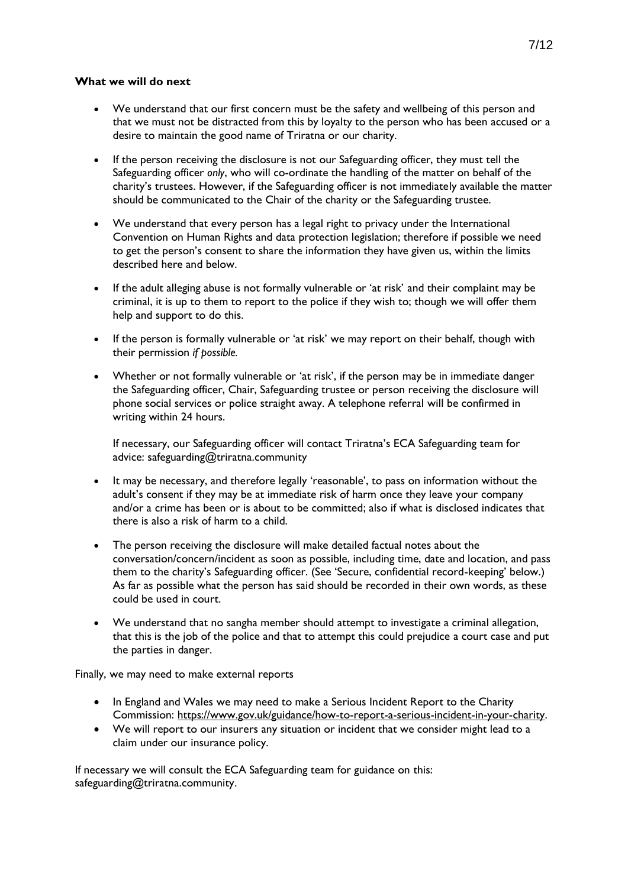## **What we will do next**

- We understand that our first concern must be the safety and wellbeing of this person and that we must not be distracted from this by loyalty to the person who has been accused or a desire to maintain the good name of Triratna or our charity.
- If the person receiving the disclosure is not our Safeguarding officer, they must tell the Safeguarding officer *only*, who will co-ordinate the handling of the matter on behalf of the charity's trustees. However, if the Safeguarding officer is not immediately available the matter should be communicated to the Chair of the charity or the Safeguarding trustee.
- We understand that every person has a legal right to privacy under the International Convention on Human Rights and data protection legislation; therefore if possible we need to get the person's consent to share the information they have given us, within the limits described here and below.
- If the adult alleging abuse is not formally vulnerable or 'at risk' and their complaint may be criminal, it is up to them to report to the police if they wish to; though we will offer them help and support to do this.
- If the person is formally vulnerable or 'at risk' we may report on their behalf, though with their permission *if possible.*
- Whether or not formally vulnerable or 'at risk', if the person may be in immediate danger the Safeguarding officer, Chair, Safeguarding trustee or person receiving the disclosure will phone social services or police straight away. A telephone referral will be confirmed in writing within 24 hours.

If necessary, our Safeguarding officer will contact Triratna's ECA Safeguarding team for advice: safeguarding@triratna.community

- It may be necessary, and therefore legally 'reasonable', to pass on information without the adult's consent if they may be at immediate risk of harm once they leave your company and/or a crime has been or is about to be committed; also if what is disclosed indicates that there is also a risk of harm to a child.
- The person receiving the disclosure will make detailed factual notes about the conversation/concern/incident as soon as possible, including time, date and location, and pass them to the charity's Safeguarding officer. (See 'Secure, confidential record-keeping' below.) As far as possible what the person has said should be recorded in their own words, as these could be used in court.
- We understand that no sangha member should attempt to investigate a criminal allegation, that this is the job of the police and that to attempt this could prejudice a court case and put the parties in danger.

Finally, we may need to make external reports

- In England and Wales we may need to make a Serious Incident Report to the Charity Commission: [https://www.gov.uk/guidance/how-to-report-a-serious-incident-in-your-charity.](https://www.gov.uk/guidance/how-to-report-a-serious-incident-in-your-charity)
- We will report to our insurers any situation or incident that we consider might lead to a claim under our insurance policy.

If necessary we will consult the ECA Safeguarding team for guidance on this: safeguarding@triratna.community.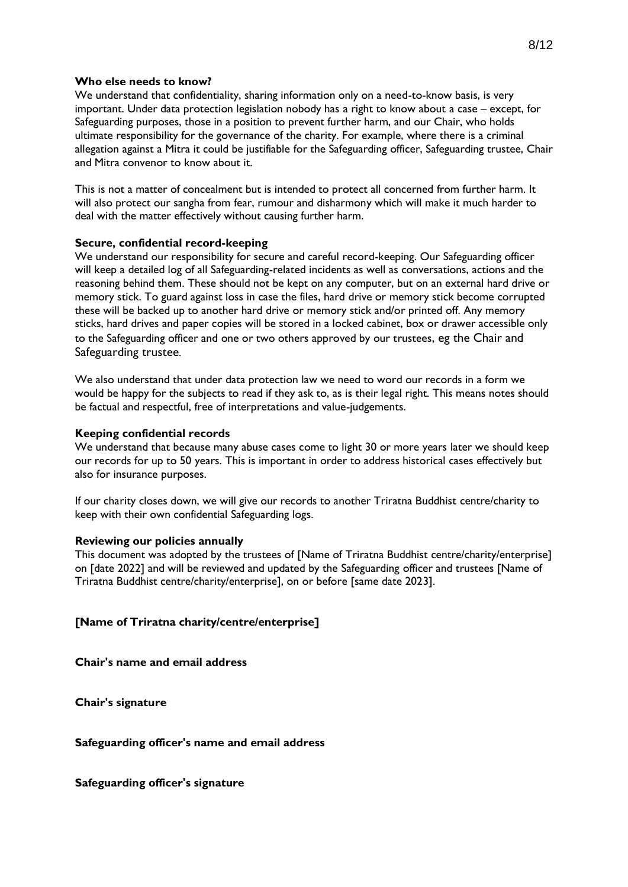#### **Who else needs to know?**

We understand that confidentiality, sharing information only on a need-to-know basis, is very important. Under data protection legislation nobody has a right to know about a case – except, for Safeguarding purposes, those in a position to prevent further harm, and our Chair, who holds ultimate responsibility for the governance of the charity. For example, where there is a criminal allegation against a Mitra it could be justifiable for the Safeguarding officer, Safeguarding trustee, Chair and Mitra convenor to know about it.

This is not a matter of concealment but is intended to protect all concerned from further harm. It will also protect our sangha from fear, rumour and disharmony which will make it much harder to deal with the matter effectively without causing further harm.

#### **Secure, confidential record-keeping**

We understand our responsibility for secure and careful record-keeping. Our Safeguarding officer will keep a detailed log of all Safeguarding-related incidents as well as conversations, actions and the reasoning behind them. These should not be kept on any computer, but on an external hard drive or memory stick. To guard against loss in case the files, hard drive or memory stick become corrupted these will be backed up to another hard drive or memory stick and/or printed off. Any memory sticks, hard drives and paper copies will be stored in a locked cabinet, box or drawer accessible only to the Safeguarding officer and one or two others approved by our trustees, eg the Chair and Safeguarding trustee.

We also understand that under data protection law we need to word our records in a form we would be happy for the subjects to read if they ask to, as is their legal right. This means notes should be factual and respectful, free of interpretations and value-judgements.

#### **Keeping confidential records**

We understand that because many abuse cases come to light 30 or more years later we should keep our records for up to 50 years. This is important in order to address historical cases effectively but also for insurance purposes.

If our charity closes down, we will give our records to another Triratna Buddhist centre/charity to keep with their own confidential Safeguarding logs.

#### **Reviewing our policies annually**

This document was adopted by the trustees of [Name of Triratna Buddhist centre/charity/enterprise] on [date 2022] and will be reviewed and updated by the Safeguarding officer and trustees [Name of Triratna Buddhist centre/charity/enterprise], on or before [same date 2023].

#### **[Name of Triratna charity/centre/enterprise]**

**Chair's name and email address**

**Chair's signature**

#### **Safeguarding officer's name and email address**

**Safeguarding officer's signature**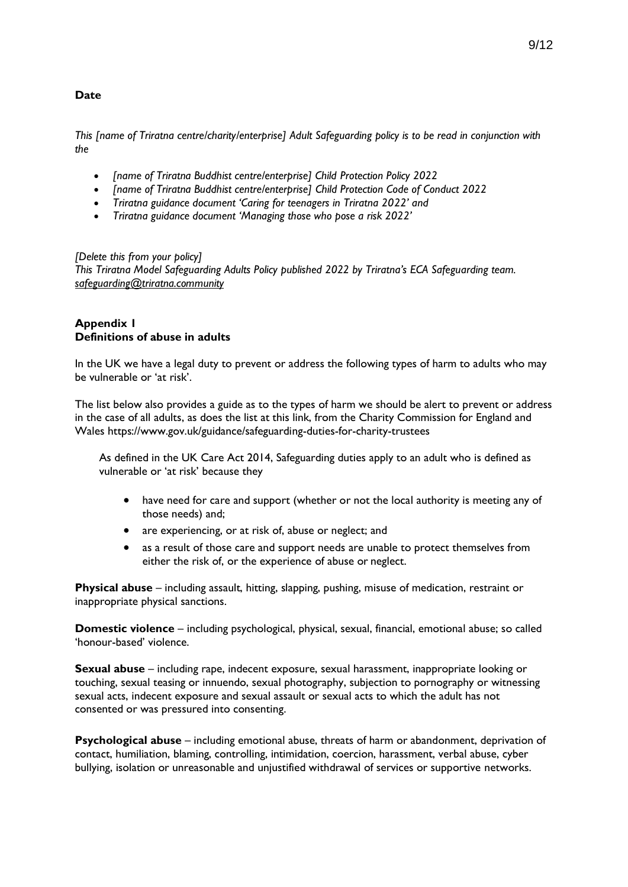# **Date**

*This [name of Triratna centre/charity/enterprise] Adult Safeguarding policy is to be read in conjunction with the*

- *[name of Triratna Buddhist centre/enterprise] Child Protection Policy 2022*
- *[name of Triratna Buddhist centre/enterprise] Child Protection Code of Conduct 2022*
- *Triratna guidance document 'Caring for teenagers in Triratna 2022' and*
- *Triratna guidance document 'Managing those who pose a risk 2022'*

*[Delete this from your policy] This Triratna Model Safeguarding Adults Policy published 2022 by Triratna's ECA Safeguarding team. [safeguarding@triratna.community](mailto:safeguarding@triratna.community)*

## **Appendix 1 Definitions of abuse in adults**

In the UK we have a legal duty to prevent or address the following types of harm to adults who may be vulnerable or 'at risk'.

The list below also provides a guide as to the types of harm we should be alert to prevent or address in the case of all adults, as does the list at this link, from the Charity Commission for England and Wales https://www.gov.uk/guidance/safeguarding-duties-for-charity-trustees

As defined in the UK Care Act 2014, Safeguarding duties apply to an adult who is defined as vulnerable or 'at risk' because they

- have need for care and support (whether or not the local authority is meeting any of those needs) and;
- are experiencing, or at risk of, abuse or neglect; and
- as a result of those care and support needs are unable to protect themselves from either the risk of, or the experience of abuse or neglect.

**Physical abuse** – including assault, hitting, slapping, pushing, misuse of medication, restraint or inappropriate physical sanctions.

**Domestic violence** – including psychological, physical, sexual, financial, emotional abuse; so called 'honour-based' violence.

**Sexual abuse** – including rape, indecent exposure, sexual harassment, inappropriate looking or touching, sexual teasing or innuendo, sexual photography, subjection to pornography or witnessing sexual acts, indecent exposure and sexual assault or sexual acts to which the adult has not consented or was pressured into consenting.

**Psychological abuse** – including emotional abuse, threats of harm or abandonment, deprivation of contact, humiliation, blaming, controlling, intimidation, coercion, harassment, verbal abuse, cyber bullying, isolation or unreasonable and unjustified withdrawal of services or supportive networks.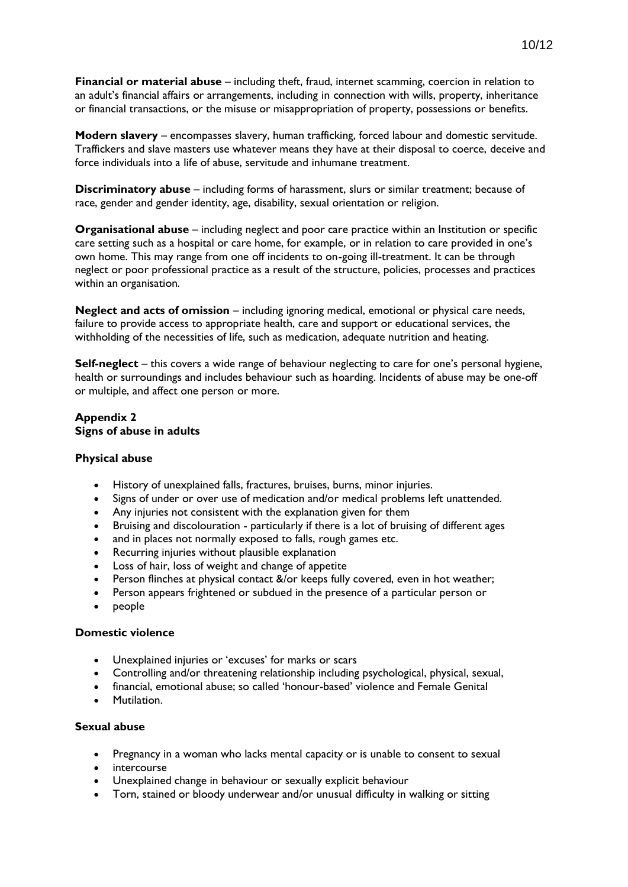**Financial or material abuse** – including theft, fraud, internet scamming, coercion in relation to an adult's financial affairs or arrangements, including in connection with wills, property, inheritance or financial transactions, or the misuse or misappropriation of property, possessions or benefits.

**Modern slavery** – encompasses slavery, human trafficking, forced labour and domestic servitude. Traffickers and slave masters use whatever means they have at their disposal to coerce, deceive and force individuals into a life of abuse, servitude and inhumane treatment.

**Discriminatory abuse** – including forms of harassment, slurs or similar treatment; because of race, gender and gender identity, age, disability, sexual orientation or religion.

**Organisational abuse** – including neglect and poor care practice within an Institution or specific care setting such as a hospital or care home, for example, or in relation to care provided in one's own home. This may range from one off incidents to on-going ill-treatment. It can be through neglect or poor professional practice as a result of the structure, policies, processes and practices within an organisation.

**Neglect and acts of omission** – including ignoring medical, emotional or physical care needs, failure to provide access to appropriate health, care and support or educational services, the withholding of the necessities of life, such as medication, adequate nutrition and heating.

**Self-neglect** – this covers a wide range of behaviour neglecting to care for one's personal hygiene, health or surroundings and includes behaviour such as hoarding. Incidents of abuse may be one-off or multiple, and affect one person or more.

## **Appendix 2 Signs of abuse in adults**

#### **Physical abuse**

- History of unexplained falls, fractures, bruises, burns, minor injuries.
- Signs of under or over use of medication and/or medical problems left unattended.
- Any injuries not consistent with the explanation given for them
- Bruising and discolouration particularly if there is a lot of bruising of different ages
- and in places not normally exposed to falls, rough games etc.
- Recurring injuries without plausible explanation
- Loss of hair, loss of weight and change of appetite
- Person flinches at physical contact &/or keeps fully covered, even in hot weather;
- Person appears frightened or subdued in the presence of a particular person or
- people

#### **Domestic violence**

- Unexplained injuries or 'excuses' for marks or scars
- Controlling and/or threatening relationship including psychological, physical, sexual,
- financial, emotional abuse; so called 'honour-based' violence and Female Genital
- Mutilation.

#### **Sexual abuse**

- Pregnancy in a woman who lacks mental capacity or is unable to consent to sexual
- intercourse
- Unexplained change in behaviour or sexually explicit behaviour
- Torn, stained or bloody underwear and/or unusual difficulty in walking or sitting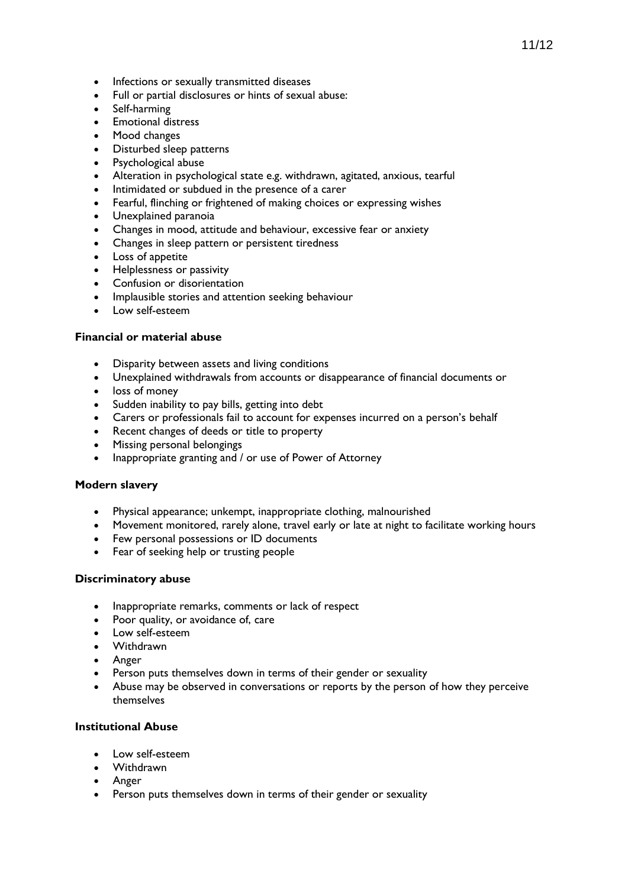- Infections or sexually transmitted diseases
- Full or partial disclosures or hints of sexual abuse:
- Self-harming
- Emotional distress
- Mood changes
- Disturbed sleep patterns
- Psychological abuse
- Alteration in psychological state e.g. withdrawn, agitated, anxious, tearful
- Intimidated or subdued in the presence of a carer
- Fearful, flinching or frightened of making choices or expressing wishes
- Unexplained paranoia
- Changes in mood, attitude and behaviour, excessive fear or anxiety
- Changes in sleep pattern or persistent tiredness
- Loss of appetite
- Helplessness or passivity
- Confusion or disorientation
- Implausible stories and attention seeking behaviour
- Low self-esteem

#### **Financial or material abuse**

- Disparity between assets and living conditions
- Unexplained withdrawals from accounts or disappearance of financial documents or
- loss of money
- Sudden inability to pay bills, getting into debt
- Carers or professionals fail to account for expenses incurred on a person's behalf
- Recent changes of deeds or title to property
- Missing personal belongings
- Inappropriate granting and / or use of Power of Attorney

#### **Modern slavery**

- Physical appearance; unkempt, inappropriate clothing, malnourished
- Movement monitored, rarely alone, travel early or late at night to facilitate working hours
- Few personal possessions or ID documents
- Fear of seeking help or trusting people

#### **Discriminatory abuse**

- Inappropriate remarks, comments or lack of respect
- Poor quality, or avoidance of, care
- Low self-esteem
- Withdrawn
- Anger
- Person puts themselves down in terms of their gender or sexuality
- Abuse may be observed in conversations or reports by the person of how they perceive themselves

# **Institutional Abuse**

- Low self-esteem
- Withdrawn
- Anger
- Person puts themselves down in terms of their gender or sexuality